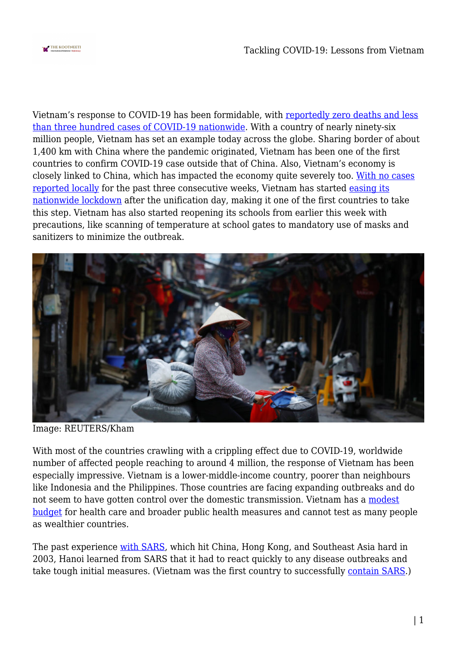

Vietnam's response to COVID-19 has been formidable, with [reportedly zero deaths and less](https://www.csis.org/programs/southeast-asia-program/southeast-asia-covid-19-tracker-0) [than three hundred cases of COVID-19 nationwide.](https://www.csis.org/programs/southeast-asia-program/southeast-asia-covid-19-tracker-0) With a country of nearly ninety-six million people, Vietnam has set an example today across the globe. Sharing border of about 1,400 km with China where the pandemic originated, Vietnam has been one of the first countries to confirm COVID-19 case outside that of China. Also, Vietnam's economy is closely linked to China, which has impacted the economy quite severely too. [With no cases](https://www.cnbc.com/2020/05/05/vietnam-may-avoid-a-coronavirus-induced-recession-as-lockdown-lifts.html) [reported locally](https://www.cnbc.com/2020/05/05/vietnam-may-avoid-a-coronavirus-induced-recession-as-lockdown-lifts.html) for the past three consecutive weeks, Vietnam has started [easing its](https://www.google.com/search?q=the+nation+and+vietnam+and+covid-19&rlz=1C1CHBD_enUS817US817&oq=the+nation+and+vietnam+and+covid-19&aqs=chrome..69i57.5118j0j7&sourceid=chrome&ie=UTF-8) [nationwide lockdown](https://www.google.com/search?q=the+nation+and+vietnam+and+covid-19&rlz=1C1CHBD_enUS817US817&oq=the+nation+and+vietnam+and+covid-19&aqs=chrome..69i57.5118j0j7&sourceid=chrome&ie=UTF-8) after the unification day, making it one of the first countries to take this step. Vietnam has also started reopening its schools from earlier this week with precautions, like scanning of temperature at school gates to mandatory use of masks and sanitizers to minimize the outbreak.



Image: REUTERS/Kham

With most of the countries crawling with a crippling effect due to COVID-19, worldwide number of affected people reaching to around 4 million, the response of Vietnam has been especially impressive. Vietnam is a lower-middle-income country, poorer than neighbours like Indonesia and the Philippines. Those countries are facing expanding outbreaks and do not seem to have gotten control over the domestic transmission. Vietnam has a [modest](https://www.dw.com/en/how-vietnam-is-winning-its-war-on-coronavirus/a-52929967) [budget](https://www.dw.com/en/how-vietnam-is-winning-its-war-on-coronavirus/a-52929967) for health care and broader public health measures and cannot test as many people as wealthier countries.

The past experience [with SARS,](https://www.thenation.com/article/world/coronavirus-vietnam-quarantine-mobilization/) which hit China, Hong Kong, and Southeast Asia hard in 2003, Hanoi learned from SARS that it had to react quickly to any disease outbreaks and take tough initial measures. (Vietnam was the first country to successfully [contain SARS](https://www.latimes.com/archives/la-xpm-2003-apr-28-fg-sars28-story.html).)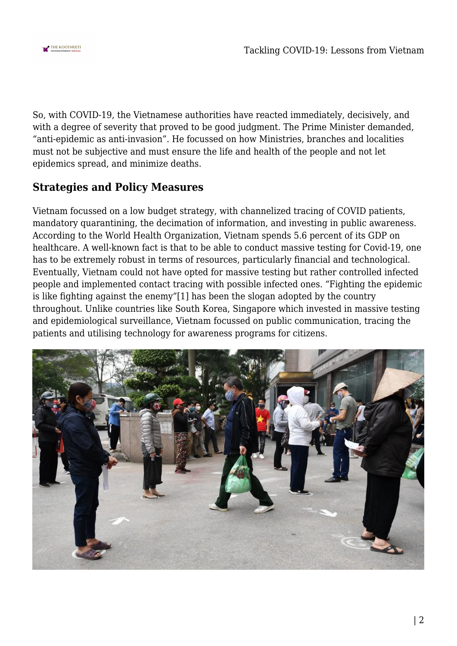

So, with COVID-19, the Vietnamese authorities have reacted immediately, decisively, and with a degree of severity that proved to be good judgment. The Prime Minister demanded, "anti-epidemic as anti-invasion". He focussed on how Ministries, branches and localities must not be subjective and must ensure the life and health of the people and not let epidemics spread, and minimize deaths.

## **Strategies and Policy Measures**

Vietnam focussed on a low budget strategy, with channelized tracing of COVID patients, mandatory quarantining, the decimation of information, and investing in public awareness. According to the World Health Organization, Vietnam spends 5.6 percent of its GDP on healthcare. A well-known fact is that to be able to conduct massive testing for Covid-19, one has to be extremely robust in terms of resources, particularly financial and technological. Eventually, Vietnam could not have opted for massive testing but rather controlled infected people and implemented contact tracing with possible infected ones. "Fighting the epidemic is like fighting against the enemy"[1] has been the slogan adopted by the country throughout. Unlike countries like South Korea, Singapore which invested in massive testing and epidemiological surveillance, Vietnam focussed on public communication, tracing the patients and utilising technology for awareness programs for citizens.

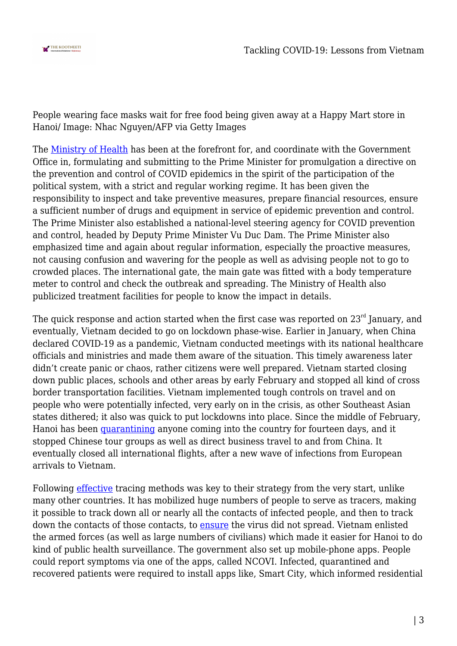

People wearing face masks wait for free food being given away at a Happy Mart store in Hanoi/ Image: Nhac Nguyen/AFP via Getty Images

The [Ministry of Health](https://ncov.moh.gov.vn/) has been at the forefront for, and coordinate with the Government Office in, formulating and submitting to the Prime Minister for promulgation a directive on the prevention and control of COVID epidemics in the spirit of the participation of the political system, with a strict and regular working regime. It has been given the responsibility to inspect and take preventive measures, prepare financial resources, ensure a sufficient number of drugs and equipment in service of epidemic prevention and control. The Prime Minister also established a national-level steering agency for COVID prevention and control, headed by Deputy Prime Minister Vu Duc Dam. The Prime Minister also emphasized time and again about regular information, especially the proactive measures, not causing confusion and wavering for the people as well as advising people not to go to crowded places. The international gate, the main gate was fitted with a body temperature meter to control and check the outbreak and spreading. The Ministry of Health also publicized treatment facilities for people to know the impact in details.

The quick response and action started when the first case was reported on  $23<sup>rd</sup>$  January, and eventually, Vietnam decided to go on lockdown phase-wise. Earlier in January, when China declared COVID-19 as a pandemic, Vietnam conducted meetings with its national healthcare officials and ministries and made them aware of the situation. This timely awareness later didn't create panic or chaos, rather citizens were well prepared. Vietnam started closing down public places, schools and other areas by early February and stopped all kind of cross border transportation facilities. Vietnam implemented tough controls on travel and on people who were potentially infected, very early on in the crisis, as other Southeast Asian states dithered; it also was quick to put lockdowns into place. Since the middle of February, Hanoi has been [quarantining](https://www.thenation.com/article/world/coronavirus-vietnam-quarantine-mobilization/) anyone coming into the country for fourteen days, and it stopped Chinese tour groups as well as direct business travel to and from China. It eventually closed all international flights, after a new wave of infections from European arrivals to Vietnam.

Following [effective](https://www.dw.com/en/how-vietnam-is-winning-its-war-on-coronavirus/a-52929967) tracing methods was key to their strategy from the very start, unlike many other countries. It has mobilized huge numbers of people to serve as tracers, making it possible to track down all or nearly all the contacts of infected people, and then to track down the contacts of those contacts, to [ensure](https://www.dw.com/en/how-vietnam-is-winning-its-war-on-coronavirus/a-52929967) the virus did not spread. Vietnam enlisted the armed forces (as well as large numbers of civilians) which made it easier for Hanoi to do kind of public health surveillance. The government also set up mobile-phone apps. People could report symptoms via one of the apps, called NCOVI. Infected, quarantined and recovered patients were required to install apps like, Smart City, which informed residential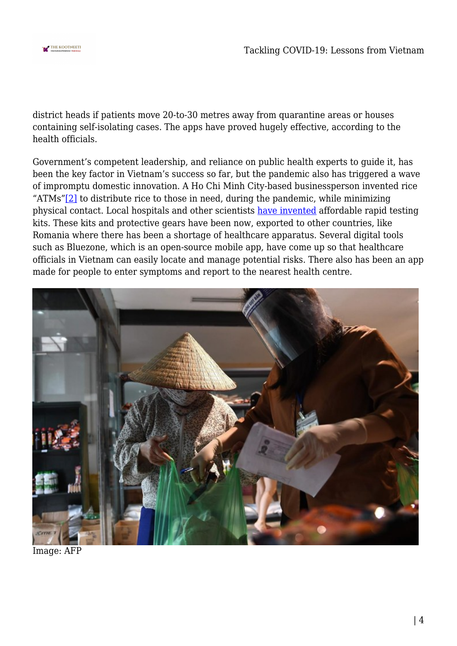

district heads if patients move 20-to-30 metres away from quarantine areas or houses containing self-isolating cases. The apps have proved hugely effective, according to the health officials.

Government's competent leadership, and reliance on public health experts to guide it, has been the key factor in Vietnam's success so far, but the pandemic also has triggered a wave of impromptu domestic innovation. A Ho Chi Minh City-based businessperson invented rice "ATMs["\[2\]](#page--1-0) to distribute rice to those in need, during the pandemic, while minimizing physical contact. Local hospitals and other scientists [have invented](https://www.project-syndicate.org/commentary/vietnam-low-cost-success-against-covid19-by-hong-kong-nguyen-2020-04) affordable rapid testing kits. These kits and protective gears have been now, exported to other countries, like Romania where there has been a shortage of healthcare apparatus. Several digital tools such as Bluezone, which is an open-source mobile app, have come up so that healthcare officials in Vietnam can easily locate and manage potential risks. There also has been an app made for people to enter symptoms and report to the nearest health centre.



Image: AFP